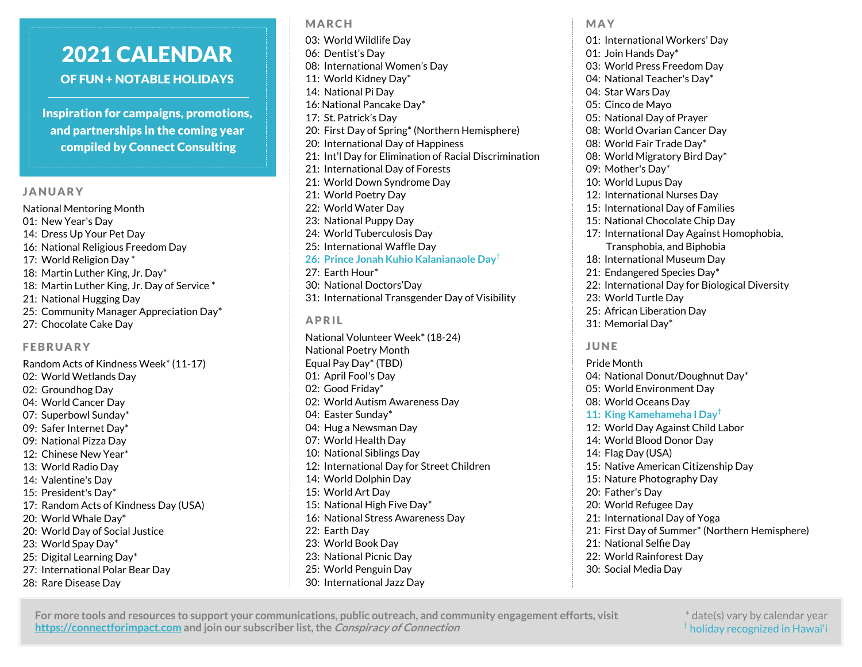## 2021 CALENDAR OF FUN + NOTABLE HOLIDAYS

Inspiration for campaigns, promotions, and partnerships in the coming year compiled by Connect Consulting

#### JANUARY

National Mentoring Month 01: New Year's Day 14: Dress Up Your Pet Day 16: National Religious Freedom Day 17: World Religion Day \* 18: Martin Luther King, Jr. Day\* 18: Martin Luther King, Jr. Day of Service \* 21: National Hugging Day 25: Community Manager Appreciation Day\* 27: Chocolate Cake Day

#### FEBRUARY

Random Acts of Kindness Week\* (11-17) 02: World Wetlands Day 02: Groundhog Day 04: World Cancer Day 07: Superbowl Sunday\* 09: Safer Internet Day\* 09: National Pizza Day 12: Chinese New Year\* 13: World Radio Day 14: Valentine's Day 15: President's Day\* 17: Random Acts of Kindness Day (USA) 20: World Whale Day\* 20: World Day of Social Justice 23: World Spay Day\* 25: Digital Learning Day\* 27: International Polar Bear Day 28: Rare Disease Day

03: World Wildlife Day 06: Dentist's Day 08: International Women's Day 11: World Kidney Day\* 14: National Pi Day 16: National Pancake Day\* 17: St. Patrick's Day 20: First Day of Spring\* (Northern Hemisphere) 20: International Day of Happiness 21: Int'l Day for Elimination of Racial Discrimination 21: International Day of Forests 21: World Down Syndrome Day 21: World Poetry Day 22: World Water Day 23: National Puppy Day 24: World Tuberculosis Day 25: International Waffle Day **26: Prince Jonah Kuhio Kalanianaole Day†** 27: Earth Hour\* 30: National Doctors'Day 31: International Transgender Day of Visibility APRIL National Volunteer Week\* (18-24)

National Poetry Month Equal Pay Day\* (TBD) 01: April Fool's Day 02: Good Friday\* 02: World Autism Awareness Day 04: Easter Sunday\* 04: Hug a Newsman Day 07: World Health Day 10: National Siblings Day 12: International Day for Street Children 14: World Dolphin Day 15: World Art Day 15: National High Five Day\* 16: National Stress Awareness Day 22: Earth Day 23: World Book Day 23: National Picnic Day 25: World Penguin Day 30: International Jazz Day

01: International Workers' Day 01: Join Hands Day\* 03: World Press Freedom Day 04: National Teacher's Day\* 04: Star Wars Day 05: Cinco de Mayo 05: National Day of Prayer 08: World Ovarian Cancer Day 08: World Fair Trade Day\* 08: World Migratory Bird Day\* 09: Mother's Day\* 10: World Lupus Day 12: International Nurses Day 15: International Day of Families 15: National Chocolate Chip Day 17: International Day Against Homophobia, Transphobia, and Biphobia 18: International Museum Day 21: Endangered Species Day\* 22: International Day for Biological Diversity 23: World Turtle Day 25: African Liberation Day 31: Memorial Day\*

### JUNE

MAY

Pride Month 04: National Donut/Doughnut Day\* 05: World Environment Day 08: World Oceans Day **11: King Kamehameha I Day†** 12: World Day Against Child Labor 14: World Blood Donor Day 14: Flag Day (USA) 15: Native American Citizenship Day 15: Nature Photography Day 20: Father's Day 20: World Refugee Day 21: International Day of Yoga 21: First Day of Summer\* (Northern Hemisphere) 21: National Selfie Day 22: World Rainforest Day 30: Social Media Day

#### **For more tools and resources to support your communications, public outreach, and community engagement efforts, visit https://connectforimpact.com and join our subscriber list, the Conspiracy of Connection**

MARCH

\* date(s) vary by calendar year  $^{\dagger}$  holiday recognized in Hawai'i